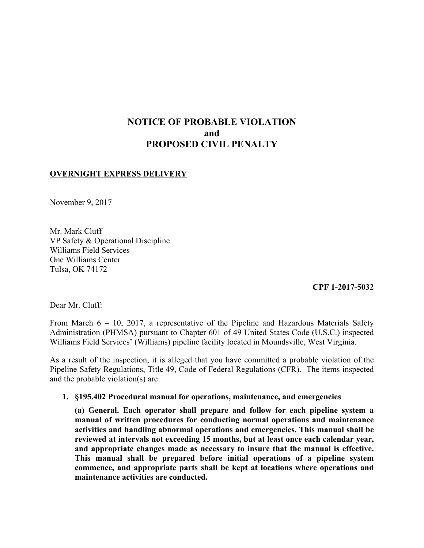# **NOTICE OF PROBABLE VIOLATION and PROPOSED CIVIL PENALTY**

## **OVERNIGHT EXPRESS DELIVERY**

November 9, 2017

Mr. Mark Cluff VP Safety & Operational Discipline Williams Field Services One Williams Center Tulsa, OK 74172

**CPF 1-2017-5032**

Dear Mr. Cluff:

 From March 6 – 10, 2017, a representative of the Pipeline and Hazardous Materials Safety Administration (PHMSA) pursuant to Chapter 601 of 49 United States Code (U.S.C.) inspected Williams Field Services' (Williams) pipeline facility located in Moundsville, West Virginia.

 Pipeline Safety Regulations, Title 49, Code of Federal Regulations (CFR). The items inspected As a result of the inspection, it is alleged that you have committed a probable violation of the and the probable violation(s) are:

### **1. §195.402 Procedural manual for operations, maintenance, and emergencies**

 **(a) General. Each operator shall prepare and follow for each pipeline system a manual of written procedures for conducting normal operations and maintenance activities and handling abnormal operations and emergencies. This manual shall be reviewed at intervals not exceeding 15 months, but at least once each calendar year, and appropriate changes made as necessary to insure that the manual is effective. This manual shall be prepared before initial operations of a pipeline system commence, and appropriate parts shall be kept at locations where operations and maintenance activities are conducted.**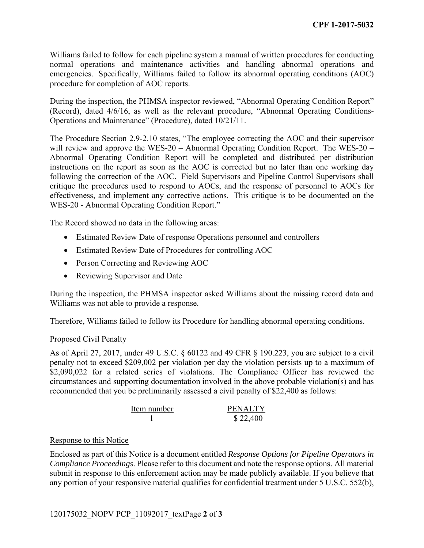Williams failed to follow for each pipeline system a manual of written procedures for conducting normal operations and maintenance activities and handling abnormal operations and emergencies. Specifically, Williams failed to follow its abnormal operating conditions (AOC) procedure for completion of AOC reports.

 (Record), dated 4/6/16, as well as the relevant procedure, "Abnormal Operating Conditions-During the inspection, the PHMSA inspector reviewed, "Abnormal Operating Condition Report" Operations and Maintenance" (Procedure), dated 10/21/11.

The Procedure Section 2.9-2.10 states, "The employee correcting the AOC and their supervisor will review and approve the WES-20 – Abnormal Operating Condition Report. The WES-20 – Abnormal Operating Condition Report will be completed and distributed per distribution instructions on the report as soon as the AOC is corrected but no later than one working day following the correction of the AOC. Field Supervisors and Pipeline Control Supervisors shall critique the procedures used to respond to AOCs, and the response of personnel to AOCs for effectiveness, and implement any corrective actions. This critique is to be documented on the WES-20 - Abnormal Operating Condition Report."

The Record showed no data in the following areas:

- Estimated Review Date of response Operations personnel and controllers
- Estimated Review Date of Procedures for controlling AOC
- Person Correcting and Reviewing AOC
- Reviewing Supervisor and Date

During the inspection, the PHMSA inspector asked Williams about the missing record data and Williams was not able to provide a response.

Therefore, Williams failed to follow its Procedure for handling abnormal operating conditions.

### Proposed Civil Penalty

As of April 27, 2017, under 49 U.S.C. § 60122 and 49 CFR § 190.223, you are subject to a civil penalty not to exceed \$209,002 per violation per day the violation persists up to a maximum of \$2,090,022 for a related series of violations. The Compliance Officer has reviewed the circumstances and supporting documentation involved in the above probable violation(s) and has recommended that you be preliminarily assessed a civil penalty of \$22,400 as follows:

| Item number | <b>PENALTY</b> |
|-------------|----------------|
|             | \$22,400       |

### Response to this Notice

Enclosed as part of this Notice is a document entitled *Response Options for Pipeline Operators in Compliance Proceedings*. Please refer to this document and note the response options. All material submit in response to this enforcement action may be made publicly available. If you believe that any portion of your responsive material qualifies for confidential treatment under 5 U.S.C. 552(b),